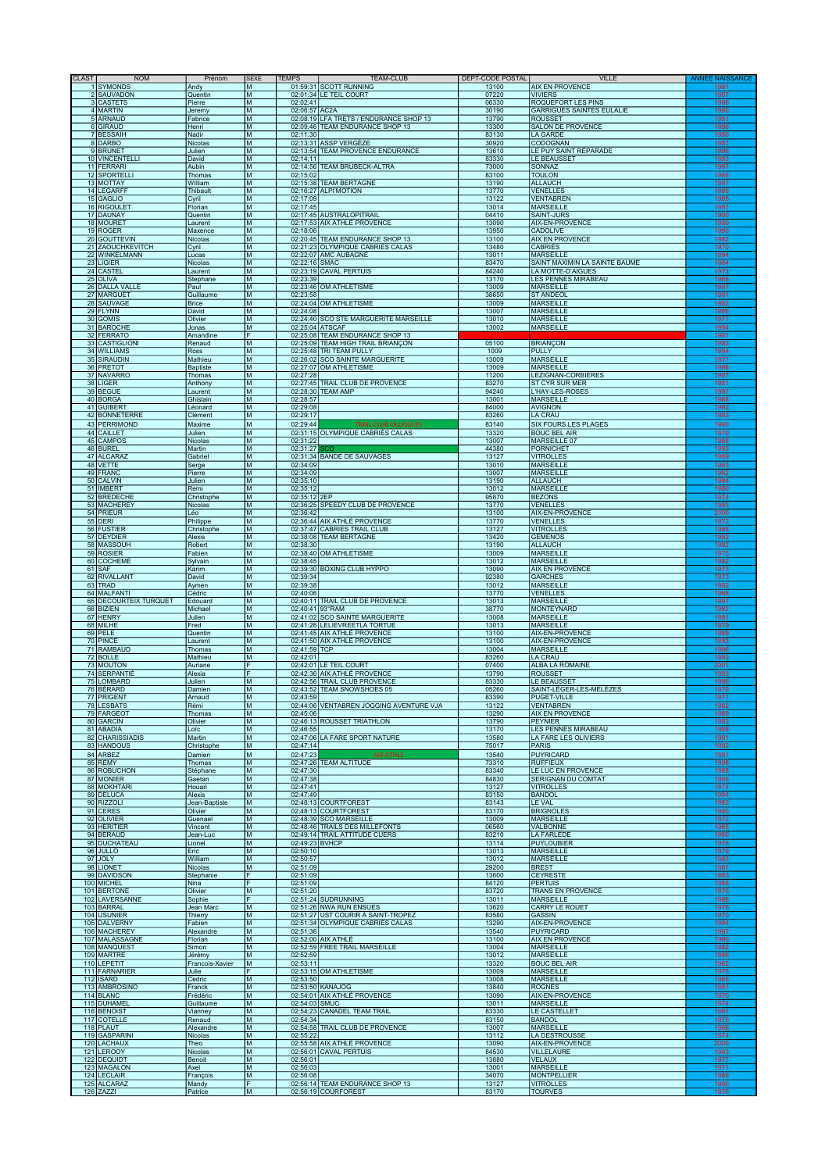| <b>CLAST</b> | <b>NOM</b>                         | Prénom                   | <b>SEXE</b>                                                                                | <b>TEMPS</b>               | <b>TEAM-CLUB</b>                                                          | DEPT-CODE POSTAL | <b>VILLE</b>                                      | <b>ANNEE NAISSANCE</b> |
|--------------|------------------------------------|--------------------------|--------------------------------------------------------------------------------------------|----------------------------|---------------------------------------------------------------------------|------------------|---------------------------------------------------|------------------------|
|              | 1 SYMONDS                          | Andy                     | M                                                                                          |                            | 01:59:31 SCOTT RUNNING                                                    | 13100            | AIX EN PROVENCE                                   | 1981                   |
|              | 2 SAUVADON<br>3 CASTETS            | Quentin<br>Pierre        | M<br>${\sf M}$                                                                             | 02:02:41                   | 02:01:34 LE TEIL COURT                                                    | 07220<br>06330   | <b>VIVIERS</b><br>ROQUEFORT LES PINS              | 1997<br>1995           |
|              | 4 MARTIN                           | Jeremy                   | M                                                                                          | 02:06:57 AC2A              |                                                                           | 30190            | <b>GARRIGUES SAINTES EULALIE</b>                  | 1990                   |
|              | 5 ARNAUD<br>6 GIRAUD               | Fabrice<br>Henri         | M<br>M                                                                                     |                            | 02:08:19 LFA TRETS / ENDURANCE SHOP 13<br>02:09:46 TEAM ENDURANCE SHOP 13 | 13790<br>13300   | <b>ROUSSET</b><br><b>SALON DE PROVENCE</b>        | 1981<br>1996           |
|              | 7 BESSAIH                          | Nadir                    | M                                                                                          | 02:11:30                   |                                                                           | 83130            | <b>LA GARDE</b>                                   | 1980                   |
|              | 8 DARBO<br>9 BRUNET                | Nicolas<br>Julien        | M<br>M                                                                                     |                            | 02:13:31 ASSP VERGÈZE<br>02:13:54 TEAM PROVENCE ENDURANCE                 | 30920<br>13610   | CODOGNAN<br>LE PUY SAINT RÉPARADE                 | 1987<br>1996           |
|              | 10 VINCENTELLI                     | David                    | M                                                                                          | 02:14:11                   |                                                                           | 83330            | LE BEAUSSET                                       | 1983                   |
|              | 11 FERRARI<br>12 SPORTELLI         | Aubin<br>Thomas          | M<br>M                                                                                     | 02:15:02                   | 02:14:56 TEAM BRUBECK-ALTRA                                               | 73000<br>83100   | SONNAZ<br><b>TOULON</b>                           | 1997<br>1988           |
|              | 13 MOTTAY                          | William                  | M                                                                                          |                            | 02:15:38 TEAM BERTAGNE                                                    | 13190            | <b>ALLAUCH</b>                                    | 1997                   |
|              | 14 LEGARFF<br>15 GAGLIO            | Thibault<br>Cyril        | M<br>M                                                                                     | 02:17:09                   | 02:16:27 ALPI'MOTION                                                      | 13770<br>13122   | <b>VENELLES</b><br><b>VENTABREN</b>               | 1995<br>1985           |
|              | 16 RIGOULET                        | Florian                  | M                                                                                          | 02:17:45                   |                                                                           | 13014            | <b>MARSEILLE</b>                                  | 1997                   |
|              | 17 DAUNAY<br>18 MOURET             | Quentin<br>Laurent       | M<br>M                                                                                     |                            | 02:17:45 AUSTRALOPITRAIL<br>02:17:53 AIX ATHLÉ PROVENCE                   | 04410<br>13090   | <b>SAINT-JURS</b><br>AIX-EN-PROVENCE              | 1990<br>1980           |
|              | 19 ROGER                           | Maxence                  | M                                                                                          | 02:18:06                   | 02:20:45 TEAM ENDURANCE SHOP 13                                           | 13950            | <b>CADOLIVE</b>                                   | 1990                   |
|              | 20 GOUTTEVIN<br>21 ZAOUCHKEVITCH   | Nicolas<br>Cyril         | M<br>M                                                                                     |                            | 02:21:23 OLYMPIQUE CABRIÈS CALAS                                          | 13100<br>13480   | <b>AIX EN PROVENCE</b><br><b>CABRIÈS</b>          | 1982<br>1970           |
|              | 22 WINKELMANN<br>23 LIGIER         | Lucas                    | M<br>M                                                                                     | 02:22:16 SMAC              | 02:22:07 AMC AUBAGNE                                                      | 13011<br>83470   | <b>MARSEILLE</b><br>SAINT MAXIMIN LA SAINTE BAUME | 1994<br>1984           |
|              | 24 CASTEL                          | Nicolas<br>Laurent       | M                                                                                          |                            | 02:23:19 CAVAL PERTUIS                                                    | 84240            | LA MOTTE-D'AIGUES                                 | 1973                   |
|              | 25 OLIVA<br>26 DALLA VALLE         | Stephane<br>Paul         | M<br>M                                                                                     | 02:23:39                   | 02:23:46 OM ATHLETISME                                                    | 13170<br>13009   | LES PENNES MIRABEAU<br><b>MARSEILLE</b>           | 1968<br>1997           |
|              | 27 MARGUET                         | Guillaume                | M                                                                                          | 02:23:58                   |                                                                           | 38650            | <b>ST ANDEOL</b>                                  | 1991                   |
|              | 28 SAUVAGE<br>29 FLYNN             | <b>Brice</b><br>David    | M<br>M                                                                                     | 02:24:08                   | 02:24:04 OM ATHLETISME                                                    | 13009<br>13007   | <b>MARSEILLE</b><br><b>MARSEILLE</b>              | 1982<br>1986           |
|              | 30 GOMIS                           | Olivier                  | M                                                                                          |                            | 02:24:40 SCO STE MARGUERITE MARSEILLE                                     | 13010            | <b>MARSEILLE</b>                                  | 1977                   |
|              | 31 BAROCHE<br>32 FERRATO           | Jonas<br>Amandine        | M<br>F                                                                                     |                            | 02:25:04 ATSCAF<br>02:25:08 TEAM ENDURANCE SHOP 13                        | 13002            | <b>MARSEILLE</b>                                  | 1994<br>1981           |
|              | 33 CASTIGLIONI                     | Renaud                   | M                                                                                          |                            | 02:25:09 TEAM HIGH TRAIL BRIANCON                                         | 05100            | <b>BRIANÇON</b>                                   | 1983                   |
|              | 34 WILLIAMS<br>35 SIRAUDIN         | Ross<br>Mathieu          | M<br>M                                                                                     |                            | 02:25:48 TRI TEAM PULLY<br>02:26:02 SCO SAINTE MARGUERITE                 | 1009<br>13009    | PULLY<br><b>MARSEILLE</b>                         | 1994<br>1977           |
|              | 36 PRETOT                          | <b>Baptiste</b>          | M                                                                                          |                            | 02:27:07 OM ATHLETISME                                                    | 13009            | <b>MARSEILLE</b>                                  | 1998                   |
|              | 37 NAVARRO<br>38 LIGER             | Thomas<br>Anthony        | M<br>M                                                                                     | 02:27:28                   | 02:27:45 TRAIL CLUB DE PROVENCE                                           | 11200<br>83270   | LÉZIGNAN-CORBIÈRES<br>ST CYR SUR MER              | 1997<br>1981           |
|              | 39 BEGUE                           | Laurent                  | M                                                                                          |                            | 02:28:30 TEAM AMP                                                         | 94240            | L'HAY-LES-ROSES                                   | 1997                   |
|              | 40 BORGA<br>41 GUIBERT             | Ghislain<br>Léonard      | M<br>$\mathsf{M}% _{T}=\mathsf{M}_{T}\!\left( a,b\right) ,\ \mathsf{M}_{T}=\mathsf{M}_{T}$ | 02:28:57<br>02:29:08       |                                                                           | 13001<br>84000   | <b>MARSEILLE</b><br><b>AVIGNON</b>                | 1988<br>1992           |
|              | 42 BONNETERRE                      | Clément                  | M                                                                                          | 02:29:17                   |                                                                           | 83260            | <b>LA CRAU</b>                                    | 1993                   |
|              | 43 PERRIMOND                       | Maxime                   | M                                                                                          | 02:29:44                   | TRAIL CLUB OLLIOULES                                                      | 83140            | <b>SIX FOURS LES PLAGES</b>                       | 1990                   |
|              | 44 CAILLET<br>45 CAMPOS            | Julien<br>Nicolas        | M<br>${\sf M}$                                                                             | 02:31:22                   | 02:31:15 OLYMPIQUE CABRIÈS CALAS                                          | 13320<br>13007   | <b>BOUC BEL AIR</b><br>MARSEILLE 07               | 1979<br>1988           |
|              | 46 BUREL                           | Martin                   | M<br>M                                                                                     | 02:31:27                   |                                                                           | 44380<br>13127   | <b>PORNICHET</b><br><b>VITROLLES</b>              | 1993                   |
|              | 47 ALCARAZ<br>48 VETTE             | Gabriel<br>Serge         | M                                                                                          | 02:34:09                   | 02:31:34 BANDE DE SAUVAGES                                                | 13010            | <b>MARSEILLE</b>                                  | 1989<br>1963           |
|              | 49 FRANC                           | Pierre                   | M                                                                                          | 02:34:09                   |                                                                           | 13007            | <b>MARSEILLE</b>                                  | 1982                   |
|              | 50 CALVIN<br>51 IMBERT             | Julien<br>Remi           | M<br>M                                                                                     | 02:35:10<br>02:35:12       |                                                                           | 13190<br>13012   | <b>ALLAUCH</b><br><b>MARSEILLE</b>                | 1984<br>1980           |
|              | 52 BREDECHE                        | Christophe               | M                                                                                          | 02:35:12 2EP               |                                                                           | 95870            | <b>BEZONS</b>                                     | 1974                   |
|              | 53 MACHEREY<br>54 PRIEUR           | Nicolas<br>Léo           | M<br>M                                                                                     | 02:36:42                   | 02:36:25 SPEEDY CLUB DE PROVENCE                                          | 13770<br>13100   | VENELLES<br>AIX-EN-PROVENCE                       | 1983<br>2000           |
|              | 55 DERI                            | Philippe                 | M                                                                                          |                            | 02:36:44 AIX ATHLÉ PROVENCE                                               | 13770            | <b>VENELLES</b>                                   | 1972                   |
|              | 56 FUSTIER<br>57 DEYDIER           | Christophe<br>Alexis     | M<br>M                                                                                     |                            | 02:37:47 CABRIES TRAIL CLUB<br>02:38:08 TEAM BERTAGNE                     | 13127<br>13420   | <b>VITROLLES</b><br><b>GEMENOS</b>                | 1988<br>1992           |
|              | 58 MASSOUH                         | Robert                   | M                                                                                          | 02:38:30                   |                                                                           | 13190            | <b>ALLAUCH</b>                                    | 1992                   |
|              | 59 ROSIER<br>60 COCHEMÉ            | Fabien<br>Sylvain        | M<br>M                                                                                     | 02:38:45                   | 02:38:40 OM ATHLETISME                                                    | 13009<br>13012   | <b>MARSEILLE</b><br><b>MARSEILLE</b>              | 1975<br>1982           |
|              | 61 SAF                             | Karim                    | M                                                                                          |                            | 02:39:30 BOXING CLUB HYPPO                                                | 13090            | <b>AIX EN PROVENCE</b>                            | 1973                   |
|              | 62 RIVALLANT<br>63 TRAD            | David<br>Aymen           | M<br>M                                                                                     | 02:39:34<br>02:39:38       |                                                                           | 92380<br>13012   | <b>GARCHES</b><br><b>MARSEILLE</b>                | 1973<br>1992           |
|              | 64 MALFANTI                        | Cédric                   | M                                                                                          | 02:40:06                   |                                                                           | 13770            | <b>VENELLES</b>                                   | 1968                   |
|              | 65 DECOURTEIX TURQUET<br>66 BIZIEN | Edouard<br>Michael       | M<br>M                                                                                     | 02:40:41 93°RAM            | 02:40:11 TRAIL CLUB DE PROVENCE                                           | 13013<br>38770   | <b>MARSEILLE</b><br><b>MONTEYNARD</b>             | 1997<br>1982           |
|              | 67 HENRY                           | Julien                   | M                                                                                          |                            | 02:41:02 SCO SAINTE MARGUERITE                                            | 13008            | <b>MARSEILLE</b>                                  | 1981                   |
|              | 68 MILHE<br>69 PELE                | Fred<br>Quentin          | M<br>M                                                                                     |                            | 02:41:26 LELIEVREETLA TORTUE<br>02:41:45 AIX ATHLÉ PROVENCE               | 13013<br>13100   | <b>MARSEILLE</b><br><b>AIX-EN-PROVENCE</b>        | 1979<br>1989           |
|              | 70 PINCE                           | Laurent                  | M                                                                                          |                            | 02:41:50 AIX ATHLÉ PROVENCE                                               | 13100            | AIX-EN-PROVENCE                                   | 1983                   |
|              | 71 RAMBAUD<br>72 BOLLE             | Thomas<br>Mathieu        | M<br>M                                                                                     | 02:41:59 TCP<br>02:42:01   |                                                                           | 13004<br>83260   | <b>MARSEILLE</b><br><b>LA CRAU</b>                | 1996<br>1993           |
|              | 73 MOUTON                          | Auriane                  | F                                                                                          |                            | 02:42:01 LE TEIL COURT                                                    | 07400            | <b>ALBA LA ROMAINE</b>                            | 2001                   |
|              | 74 SERPANTIÉ<br>75 LOMBARD         | Alexia<br>Julien         | F<br>M                                                                                     |                            | 02:42:36 AIX ATHLÉ PROVENCE<br>02:42:56 TRAIL CLUB PROVENCE               | 13790<br>83330   | <b>ROUSSET</b><br>LE BEAUSSET                     | 1993<br>1986           |
|              | 76 BÉRARD                          | Damien                   | M                                                                                          |                            | 02:43:52 TEAM SNOWSHOES 05                                                | 05260            | SAINT-LÉGER-LES-MÉLÈZES                           | 1979                   |
|              | 77 PRIGENT<br>78 LESBATS           | Arnaud<br>Rémi           | м<br>M                                                                                     | 02:43:59                   | 02:44:06 VENTABREN JOGGING AVENTURE VJA                                   | 83390<br>13122   | PUGE I-VILLE<br><b>VENTABREN</b>                  | 1971<br><u> 1982</u>   |
|              | 79 FARGEOT                         | Thomas                   | M                                                                                          | 02:45:06                   |                                                                           | 13290            | <b>AIX EN PROVENCE</b>                            | 1989                   |
|              | 80 GARCIN<br>81 ABADIA             | Olivier<br>Loïc          | M<br>M                                                                                     | 02:46:55                   | 02:46:13 ROUSSET TRIATHLON                                                | 13790<br>13170   | <b>PEYNIER</b><br>LES PENNES MIRABEAU             | 1983<br>1988           |
|              | 82 CHARISSIADIS                    | Martin                   | M                                                                                          |                            | 02:47:06 LA FARE SPORT NATURE                                             | 13580            | LA FARE LES OLIVIERS                              | 1991                   |
|              | 83 HANDOUS<br>84 ARBEZ             | Christophe<br>Damien     | ${\sf M}$<br>M                                                                             | 02:47:14<br>02:47:23       | <b>AIX ATHLE</b>                                                          | 75017<br>13540   | PARIS<br><b>PUYRICARD</b>                         | 1992<br>1991           |
|              | 85 RÉMY                            | Thomas                   | M                                                                                          |                            | 02:47:26 TEAM ALTITUDE                                                    | 73310            | <b>RUFFIEUX</b>                                   | 1998                   |
|              | 86 ROBUCHON<br>87 MONIER           | Stéphane<br>Gaetan       | M<br>$\mathsf{M}% _{T}=\mathsf{M}_{T}\!\left( a,b\right) ,\ \mathsf{M}_{T}=\mathsf{M}_{T}$ | 02:47:30<br>02:47:38       |                                                                           | 83340<br>84830   | LE LUC EN PROVENCE<br>SERIGNAN DU COMTAT          | 1988<br>1995           |
|              | 88 MOKHTAR                         | Houari                   | M                                                                                          | 02:47:41                   |                                                                           | 13127            | <b>VITROLLES</b>                                  | 1974                   |
|              | 89 DELUCA<br>90 RIZZOLI            | Alexis<br>Jean-Baptiste  | M<br>M                                                                                     | 02:47:49                   | 02:48:13 COURTFOREST                                                      | 83150<br>83143   | <b>BANDOL</b><br>LE VAL                           | 1994<br>1982           |
|              | 91 CERES                           | Olivier                  | M                                                                                          |                            | 02:48:13 COURTFOREST                                                      | 83170            | <b>BRIGNOLES</b>                                  | 1980                   |
|              | 92 OLIVIER<br>93 HERITIER          | Guenael<br>Vincent       | M<br>M                                                                                     |                            | 02:48:39 SCO MARSEILLE<br>02:48:46 TRAILS DES MILLEFONTS                  | 13009<br>06560   | <b>MARSEILLE</b><br>VALBONNE                      | 1972<br>1985           |
|              | 94 BERAUD                          | Jean-Luc                 | M                                                                                          |                            | 02:49:14 TRAIL ATTITUDE CUERS                                             | 83210            | <b>LA FARLEDE</b>                                 | 1960                   |
|              | 95 DUCHATEAU<br>96 JULLO           | Lionel<br>Eric           | M<br>M                                                                                     | 02:49:23 BVHCP<br>02:50:10 |                                                                           | 13114<br>13013   | <b>PUYLOUBIER</b><br><b>MARSEILLE</b>             | 1978<br>1979           |
|              | 97 JOLY                            | William                  | M                                                                                          | 02:50:57                   |                                                                           | 13012            | <b>MARSEILLE</b>                                  | 1983                   |
|              | 98 LIONET<br>99 DAVIDSON           | Nicolas<br>Stephanie     | M<br>F                                                                                     | 02:51:09<br>02:51:09       |                                                                           | 29200<br>13600   | <b>BREST</b><br><b>CEYRESTE</b>                   | 1987<br>1983           |
|              | 100 MICHEL                         | Nina                     | F                                                                                          | 02:51:09                   |                                                                           | 84120            | <b>PERTUIS</b>                                    | 1988                   |
|              | 101 BERTONE<br>102 LAVERSANNE      | Olivier<br>Sophie        | M<br>F                                                                                     | 02:51:20                   | 02:51:24 SUDRUNNING                                                       | 83720<br>13011   | TRANS EN PROVENCE<br><b>MARSEILLE</b>             | 1975<br>1986           |
|              | 103 BARRAL                         | Jean Marc                | M                                                                                          |                            | 02:51:26 NWA RUN ENSUES                                                   | 13620            | <b>CARRY LE ROUET</b>                             | 1976                   |
|              | 104 USUNIER<br>105 DALVERNY        | Thierry<br>Fabien        | M<br>M                                                                                     |                            | 02:51:27 UST COURIR À SAINT-TROPEZ<br>02:51:34 OLYMPIQUE CABRIÈS CALAS    | 83580<br>13290   | GASSIN<br>AIX-EN-PROVENCE                         | 1970<br>1994           |
|              | 106 MACHEREY                       | Alexandre                | M                                                                                          | 02:51:36                   |                                                                           | 13540            | PUYRICARD                                         | 1997                   |
|              | 107 MALASSAGNE<br>108 MANQUEST     | Florian<br>Simon         | M<br>M                                                                                     |                            | 02:52:00 AIX ATHLE<br>02:52:59 FREE TRAIL MARSEILLE                       | 13100<br>13004   | <b>AIX EN PROVENCE</b><br><b>MARSEILLE</b>        | 1990<br>1982           |
|              | 109 MARTRE                         | Jérémy                   | M                                                                                          | 02:52:59                   |                                                                           | 13012            | <b>MARSEILLE</b>                                  | 1986                   |
|              | 110 LEPETIT<br>111 FARNARIER       | Francois-Xavier<br>Julie | M                                                                                          | 02:53:11                   | 02:53:15 OM ATHLETISME                                                    | 13320<br>13009   | <b>BOUC BEL AIR</b><br><b>MARSEILLE</b>           | 1982<br>1975           |
|              | 112 ISARD                          | Cedric                   | M                                                                                          | 02:53:50                   |                                                                           | 13008            | <b>MARSEILLE</b>                                  | 1985                   |
|              | 113 AMBROSINO<br>114 BLANC         | Franck<br>Frédéric       | M<br>M                                                                                     |                            | 02:53:50 KANAJOG<br>02:54:01 AIX ATHLÉ PROVENCE                           | 13840<br>13090   | <b>ROGNES</b><br><b>AIX-EN-PROVENCE</b>           | 1981<br>1970           |
|              | 115 DUHAMEL                        | Guillaume                | M                                                                                          | 02:54:03 SMUC              |                                                                           | 13011            | <b>MARSEILLE</b>                                  | 1974                   |
|              | 116 BENOIST<br>117 COTELLE         | Vianney<br>Renaud        | M<br>M                                                                                     | 02:54:34                   | 02:54:23 CANADEL TEAM TRAIL                                               | 83330<br>83150   | LE CASTELLET<br><b>BANDOL</b>                     | 1981<br>1975           |
|              | 118 PLAUT                          | Alexandre                | M                                                                                          |                            | 02:54:58 TRAIL CLUB DE PROVENCE                                           | 13007            | <b>MARSEILLE</b>                                  | 1966                   |
|              | 119 GASPARINI<br>120 LACHAUX       | Nicolas<br>Theo          | M<br>M                                                                                     | 02:55:22                   | 02:55:58 AIX ATHLÉ PROVENCE                                               | 13112<br>13090   | LA DESTROUSSE<br>AIX-EN-PROVENCE                  | 1974<br><b>2000</b>    |
|              | 121 LEROOY                         | Nicolas                  | M                                                                                          |                            | 02:56:01 CAVAL PERTUIS                                                    | 84530            | <b>VILLELAURE</b>                                 | 1983                   |
|              | 122 DEQUIDT<br>123 MAGALON         | Benoit<br>Axel           | M<br>M                                                                                     | 02:56:01<br>02:56:03       |                                                                           | 13880<br>13001   | <b>VELAUX</b><br><b>MARSEILLE</b>                 | 1977<br>1971           |
|              | 124 LECLAIR                        | François                 | M                                                                                          | 02:56:08                   |                                                                           | 34070            | <b>MONTPELLIER</b>                                | 1989                   |
|              | 125 ALCARAZ<br>126 ZAZZI           | Mandy<br>Patrice         | F<br>M                                                                                     |                            | 02:56:14 TEAM ENDURANCE SHOP 13<br>02:56:19 COURFOREST                    | 13127<br>83170   | <b>VITROLLES</b><br><b>TOURVES</b>                | 1990<br>1976           |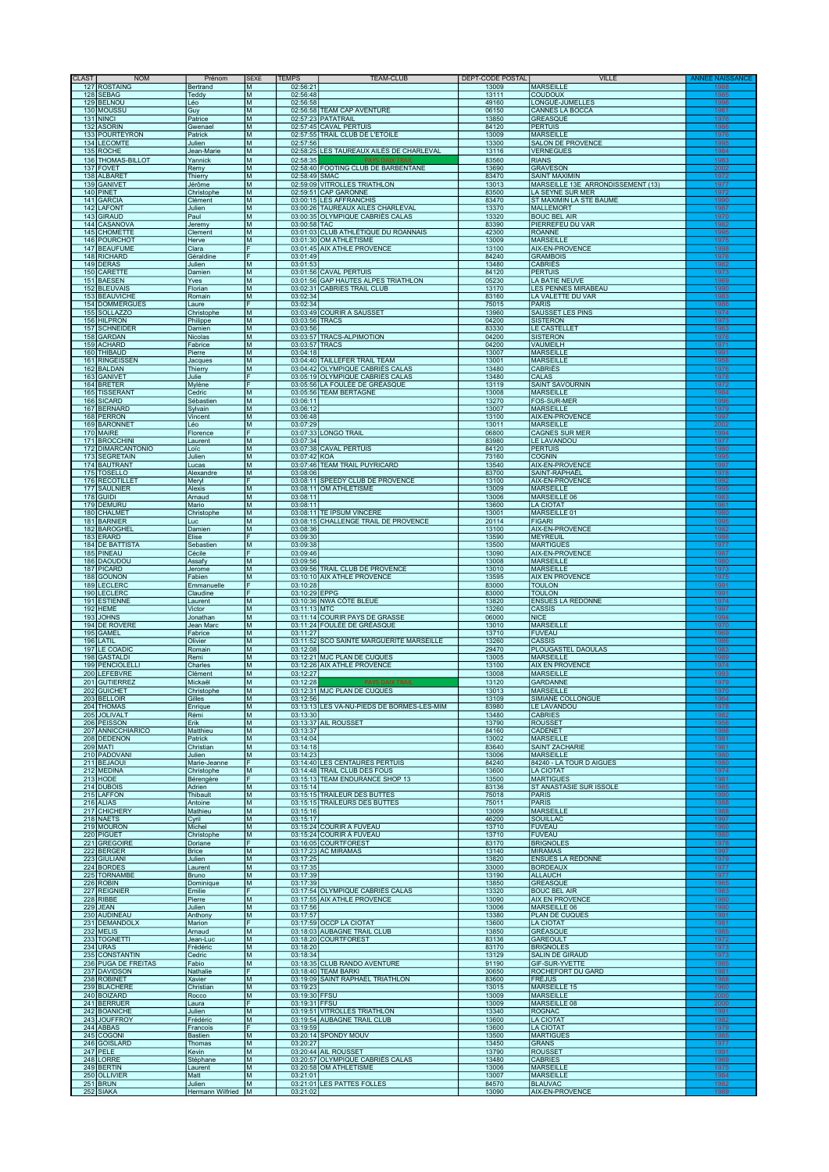| <b>CLAST</b> | <b>NOM</b>                            | Prénom                     | <b>SEXE</b>                                                                           | <b>TEMPS</b>         | <b>TEAM-CLUB</b>                                                   | DEPT-CODE POSTAL | <b>VILLE</b>                                              | <b>ANNEE NAIS</b>   |
|--------------|---------------------------------------|----------------------------|---------------------------------------------------------------------------------------|----------------------|--------------------------------------------------------------------|------------------|-----------------------------------------------------------|---------------------|
| 127          | <b>ROSTAING</b><br>128 SEBAG          | Bertrand<br>Teddy          | M                                                                                     | 02:56:21<br>02:56:48 |                                                                    | 13009<br>13111   | <b>MARSEILLE</b><br><b>COUDOUX</b>                        | 1985                |
|              | 129 BELNOU                            | Léo                        | M                                                                                     | 02:56:58             |                                                                    | 49160            | LONGUÉ-JUMELLES                                           | 1996                |
|              | 130 MOUSSU<br>131 NINCI               | Guy<br>Patrice             | M<br>M                                                                                |                      | 02:56:58 TEAM CAP AVENTURE<br>02:57:23 PATATRAIL                   | 06150<br>13850   | CANNES LA BOCCA<br><b>GREASQUE</b>                        | 1961<br>1976        |
|              | 132 ASORIN                            | Gwenael                    | M<br>M                                                                                |                      | 02:57:45 CAVAL PERTUIS                                             | 84120            | <b>PERTUIS</b>                                            | 1986<br>1976        |
|              | 133 POURTEYRON<br>134 LECOMTE         | Patrick<br>Julien          | M                                                                                     | 02:57:56             | 02:57:55 TRAIL CLUB DE L'ETOILE                                    | 13009<br>13300   | <b>MARSEILLE</b><br><b>SALON DE PROVENCE</b>              | 1995                |
|              | 135 ROCHE                             | Jean-Marie                 | M<br>M                                                                                | 02:58:35             | 02:58:25 LES TAUREAUX AILÉS DE CHARLEVAL<br><b>PAYS DAIX TRAI</b>  | 13116            | <b>VERNEGUES</b><br><b>RIANS</b>                          | 1984                |
|              | 136 THOMAS-BILLOT<br>137 FOVET        | Yannick<br>Remy            | M                                                                                     |                      | 02:58:40 FOOTING CLUB DE BARBENTANE                                | 83560<br>13690   | <b>GRAVESON</b>                                           | 1983<br>2002        |
|              | 138 ALBARE<br>139 GANIVET             | Thierry<br>Jérôme          | M<br>M                                                                                | 02:58:49 SMAC        | 02:59:09 VITROLLES TRIATHLON                                       | 83470<br>13013   | <b>SAINT MAXIMIN</b><br>MARSEILLE 13E ARRONDISSEMENT (13) | 1972<br>1977        |
|              | 140 PINET                             | Christophe                 | M                                                                                     |                      | 02:59:51 CAP GARONNE                                               | 83500            | LA SEYNE SUR MER                                          | 1972                |
|              | 141 GARCIA<br>142 LAFONT              | Clément<br>Julien          | ${\sf M}$<br>M                                                                        |                      | 03:00:15 LES AFFRANCHIS<br>03:00:26 TAUREAUX AILÉS CHARLEVAL       | 83470<br>13370   | ST MAXIMIN LA STE BAUME<br><b>MALLEMORT</b>               | <u>1990</u><br>1987 |
|              | 143 GIRAUD                            | Paul                       | M                                                                                     |                      | 03:00:35 OLYMPIQUE CABRIÈS CALAS                                   | 13320            | <b>BOUC BEL AIR</b>                                       | 1970                |
|              | 144 CASANOVA<br>145 CHOMETTE          | Jeremy<br>Clement          | M<br>M                                                                                | 03:00:58 TAC         | 03:01:03 CLUB ATHLÉTIQUE DU ROANNAIS                               | 83390<br>42300   | PIERREFEU DU VAR<br><b>ROANNE</b>                         | 1982<br>1995        |
|              | 146 POURCHOT                          | Herve                      | M<br>F                                                                                |                      | 03:01:30 OM ATHLETISME                                             | 13009            | <b>MARSEILLE</b>                                          | 1975<br>1998        |
|              | 147 BEAUFUME<br>148 RICHARD           | Clara<br>Géraldine         | F                                                                                     | 03:01:49             | 03:01:45 AIX ATHLE PROVENCE                                        | 13100<br>84240   | AIX-EN-PROVENCE<br><b>GRAMBOIS</b>                        | 1976                |
|              | 149 DERAS<br>150 CARETTE              | Julien<br>Damien           | M<br>M                                                                                | 03:01:53             | 03:01:56 CAVAL PERTUIS                                             | 13480<br>84120   | <b>CABRIÈS</b><br><b>PERTUIS</b>                          | 1982<br>1973        |
|              | 151 BAESEN                            | Yves                       | M                                                                                     |                      | 03:01:56 GAP HAUTES ALPES TRIATHLON                                | 05230            | LA BATIE NEUVE                                            | 1969                |
| 153          | 152 BLEUVAIS<br><b>BEAUVICHE</b>      | Florian<br>Romain          | M<br>M                                                                                | 03:02:34             | 03:02:31 CABRIES TRAIL CLUB                                        | 13170<br>83160   | LES PENNES MIRABEAU<br>LA VALETTE DU VAR                  | 1990<br>1983        |
| 154          | <b>DOMMERGUES</b>                     | Laure                      |                                                                                       | 03:02:34             |                                                                    | 75015            | <b>PARIS</b>                                              | 1986                |
| 155<br>156   | <b>SOLLAZZO</b><br><b>HILPRON</b>     | Christophe<br>Philippe     | M<br>M                                                                                |                      | 03:03:49 COURIR A SAUSSET<br>03:03:56 TRACS                        | 13960<br>04200   | SAUSSET LES PINS<br><b>SISTERON</b>                       | 1974<br>1973        |
|              | 157 SCHNEIDER                         | Damien                     | M                                                                                     | 03:03:56             |                                                                    | 83330            | LE CASTELLET                                              | 1963                |
|              | 158 GARDAN<br>159 ACHARD              | Nicolas<br>Fabrice         | M<br>M                                                                                |                      | 03:03:57 TRACS-ALPIMOTION<br>03:03:57 TRACS                        | 04200<br>04200   | <b>SISTERON</b><br><b>VAUMEILH</b>                        | 1976<br>1971        |
|              | 160 THIBAUD                           | Pierre                     | M                                                                                     | 03:04:18             |                                                                    | 13007            | <b>MARSEILLE</b>                                          | 1991                |
|              | 161 RINGEISSEN<br>162 BALDAN          | Jacques<br>Thierry         | M<br>M                                                                                |                      | 03:04:40 TAILLEFER TRAIL TEAM<br>03:04:42 OLYMPIQUE CABRIÈS CALAS  | 13001<br>13480   | <b>MARSEILLE</b><br><b>CABRIÈS</b>                        | 1958<br>1976        |
|              | 163 GANIVET<br>164 BRETER             | Julie<br>Mylène            | F<br>F                                                                                |                      | 03:05:19 OLYMPIQUE CABRIÈS CALAS<br>03:05:56 LA FOULÉE DE GRÉASQUE | 13480<br>13119   | <b>CALAS</b><br><b>SAINT SAVOURNIN</b>                    | 1978<br>1972        |
|              | 165 TISSERANT                         | Cedric                     | M                                                                                     |                      | 03:05:56 TEAM BERTAGNE                                             | 13008            | <b>MARSEILLE</b>                                          | 1984                |
| 166          | <b>SICARD</b><br>167 BERNARD          | Sébastien<br>Sylvain       | M<br>M                                                                                | 03:06:11<br>03:06:12 |                                                                    | 13270<br>13007   | FOS-SUR-MER<br><b>MARSEILLE</b>                           | 1996<br>1979        |
|              | 168 PERRON                            | Vincent                    | M                                                                                     | 03:06:48             |                                                                    | 13100            | AIX-EN-PROVENCE                                           | 1997                |
|              | 169 BARONNET<br>170 MAIRE             | Léo<br>Florence            | M<br>F                                                                                | 03:07:29             | 03:07:33 LONGO TRAIL                                               | 13011<br>06800   | <b>MARSEILLE</b><br><b>CAGNES SUR MER</b>                 | 2002<br>1994        |
|              | 171 BROCCHINI                         | Laurent                    | M<br>M                                                                                | 03:07:34             |                                                                    | 83980            | LE LAVANDOU                                               | 1977<br>1980        |
| 172          | <b>DIMARCANTONIO</b><br>173 SEGRETAIN | Loïc<br>Julien             | M                                                                                     | 03:07:42 KOA         | 03:07:38 CAVAL PERTUIS                                             | 84120<br>73160   | <b>PERTUIS</b><br><b>COGNIN</b>                           | 1995                |
|              | 174 BAUTRANT<br>175 TOSELLO           | Lucas<br>Alexandre         | M<br>M                                                                                | 03:08:06             | 03:07:46 TEAM TRAIL PUYRICARD                                      | 13540<br>83700   | AIX-EN-PROVENCE<br>SAINT-RAPHAËL                          | 1997<br>1978        |
|              | 176 RECOTILLET                        | Meryl                      | F                                                                                     |                      | 03:08:11 SPEEDY CLUB DE PROVENCE                                   | 13100            | AIX-EN-PROVENCE                                           | 1992                |
| 177<br>178   | <b>SAULNIER</b><br><b>GUIDI</b>       | Alexis<br>Arnaud           | M<br>M                                                                                | 03:08:11             | 03:08:11 OM ATHLETISME                                             | 13009<br>13006   | <b>MARSEILLE</b><br><b>MARSEILLE 06</b>                   | 1995<br>1983        |
| 179          | <b>DEMURU</b>                         | Mario                      | $\mathsf{M}% _{T}=\mathsf{M}_{T}\!\left( a,b\right) ,\ \mathsf{M}_{T}=\mathsf{M}_{T}$ | 03:08:11             |                                                                    | 13600            | <b>LA CIOTAT</b>                                          | 1961                |
| 180<br>181   | <b>CHALMET</b><br><b>BARNIER</b>      | Christophe<br>Luc          | M<br>M                                                                                |                      | 03:08:11 TE IPSUM VINCERE<br>03:08:15 CHALLENGE TRAIL DE PROVENCE  | 13001<br>20114   | MARSEILLE 01<br><b>FIGARI</b>                             | 1980<br>1995        |
| 182          | <b>BAROGHEL</b>                       | Damien                     | M<br>F                                                                                | 03:08:36             |                                                                    | 13100            | AIX-EN-PROVENCE                                           | 1982<br>1986        |
|              | 183 ERARD<br><b>184 DE BATTISTA</b>   | Elise<br>Sebastien         | M                                                                                     | 03:09:30<br>03:09:38 |                                                                    | 13590<br>13500   | <b>MEYREUIL</b><br><b>MARTIGUES</b>                       | 1977                |
|              | 185 PINEAU<br>186 DAOUDOL             | Cécile<br>Assafy           | F<br>M                                                                                | 03:09:46<br>03:09:56 |                                                                    | 13090<br>13008   | AIX-EN-PROVENCE<br><b>MARSEILLE</b>                       | 1987<br>1980        |
|              | 187 PICARD                            | Jerome                     | M                                                                                     |                      | 03:09:56 TRAIL CLUB DE PROVENCE                                    | 13010            | <b>MARSEILLE</b>                                          | 1973                |
|              | 188 GOUNON<br>189 LECLERC             | Fabien<br>Emmanuelle       | M<br>F                                                                                | 03:10:28             | 03:10:10 AIX ATHLE PROVENCE                                        | 13595<br>83000   | <b>AIX EN PROVENCE</b><br><b>TOULON</b>                   | 1975<br>1991        |
|              | 190 LECLERC                           | Claudine                   | F                                                                                     | 03:10:29 EPPG        |                                                                    | 83000            | <b>TOULON</b>                                             | 1991                |
|              | 191 ESTIENNE<br>192 HEME              | <u>Laurent</u><br>Victor   | M<br>M                                                                                | 03:11:13 MTC         | 03:10:36 NWA CÔTE BLEUE                                            | 13820<br>13260   | <b>ENSUES LA REDONNE</b><br>CASSIS                        | 1974<br>1997        |
|              | 193 JOHNS                             | Jonathan                   | M                                                                                     |                      | 03:11:14 COURIR PAYS DE GRASSE                                     | 06000            | <b>NICE</b>                                               | 1994                |
|              | 194 DE ROVERE<br>195 GAMEL            | Jean Marc<br>Fabrice       | M<br>M                                                                                | 03:11:27             | 03:11:24 FOULÉE DE GRÉASQUE                                        | 13010<br>13710   | <b>MARSEILLE</b><br><b>FUVEAU</b>                         | 1970<br>1969        |
|              | 196 LATIL                             | Olivier                    | M<br>M                                                                                |                      | 03:11:52 SCO SAINTE MARGUERITE MARSEILLE                           | 13260            | <b>CASSIS</b>                                             | 1986<br>1983        |
|              | 197 LE COADIC<br>198 GASTALD          | Romain<br>Remi             | M                                                                                     | 03:12:08             | 03:12:21 MJC PLAN DE CUQUES                                        | 29470<br>13005   | PLOUGASTEL DAOULAS<br><b>MARSEILLE</b>                    | 1989                |
|              | 199 PENCIOLELLI<br>200 LEFEBVRE       | Charles<br>Clément         | M<br>M                                                                                | 03:12:27             | 03:12:26 AIX ATHLE PROVENCE                                        | 13100<br>13008   | <b>AIX EN PROVENCE</b><br><b>MARSEILLE</b>                | 1974<br>1993        |
|              | 201 GUTIERREZ                         | Mickaël                    | M                                                                                     | 03:12:28             | <b>PAYS DAIX TRAIL</b>                                             | 13120            | <b>GARDANNE</b>                                           | 1979                |
|              | 202 GUICHET<br>203 BELLOIR            | Christophe<br>Gilles       | M<br>M                                                                                | 03:12:56             | 03:12:31 MJC PLAN DE CUQUES                                        | 13013<br>13109   | <b>MARSEILLE</b><br>SIMIANE COLLONGUE                     | 1970<br>1964        |
|              | 204 THOMAS                            | Enrique                    | M                                                                                     |                      | 03:13:13 LES VA-NU-PIEDS DE BORMES-LES-MIM                         | 83980            | <b>LE LAVANDOU</b>                                        | 1978                |
|              | 205 JOLIVALT<br>206 PEISSON           | Rémi<br>Erik               | M<br>M                                                                                | 03:13:30             | 03:13:37 AIL ROUSSET                                               | 13480<br>13790   | <b>CABRIES</b><br><b>ROUSSET</b>                          | 1982<br>1956        |
|              | 207 ANNICCHIARICO                     | Matthieu                   | M                                                                                     | 03:13:37             |                                                                    | 84160            | <b>CADENET</b>                                            | 1998                |
|              | 208 DEDENON<br>209 MATI               | Patrick<br>Christian       | M<br>M                                                                                | 03:14:04<br>03:14:18 |                                                                    | 13002<br>83640   | <b>MARSEILLE</b><br><b>SAINT ZACHARIE</b>                 | 1981<br>1961        |
|              | 210 PADOVANI                          | Julien                     | M<br>F                                                                                | 03:14:23             |                                                                    | 13006            | <b>MARSEILLE</b>                                          | 1980                |
|              | 211 BEJAOUI<br>212 MEDINA             | Marie-Jeanne<br>Christophe | M                                                                                     |                      | 03:14:40 LES CENTAURES PERTUIS<br>03:14:48 TRAIL CLUB DES FOUS     | 84240<br>13600   | 84240 - LA TOUR D AIGUES<br><b>LA CIOTAT</b>              | 1980<br>1974        |
|              | 213 HODE<br>214 DUBOIS                | Bérengère<br>Adrien        | F<br>M                                                                                | 03:15:14             | 03:15:13 TEAM ENDURANCE SHOP 13                                    | 13500<br>83136   | <b>MARTIGUES</b><br>ST ANASTASIE SUR ISSOLE               | 1981<br>1985        |
|              | 215 LAFFON                            | Thibault                   | M                                                                                     |                      | 03:15:15 TRAILEUR DES BUTTES                                       | 75018            | <b>PARIS</b>                                              | 1990                |
|              | 216 ALIAS<br>217 CHICHERY             | Antoine<br>Mathieu         | M<br>M                                                                                | 03:15:16             | 03:15:15 TRAILEURS DES BUTTES                                      | 75011<br>13009   | <b>PARIS</b><br><b>MARSEILLE</b>                          | 1988<br>1988        |
|              | 218 NAETS                             | Cyril                      | M                                                                                     | 03:15:17             |                                                                    | 46200            | <b>SOUILLAC</b>                                           | 1997                |
|              | 219 MOURON<br>220 PIGUET              | Michel<br>Christophe       | M<br>M                                                                                |                      | 03:15:24 COURIR A FUVEAU<br>03:15:24 COURIR À FUVEAU               | 13710<br>13710   | <b>FUVEAU</b><br><b>FUVEAU</b>                            | 1960<br>1980        |
|              | 221 GREGOIRE<br>222 BERGER            | Doriane<br><b>Brice</b>    | F<br>M                                                                                |                      | 03:16:05 COURTFOREST<br>03:17:23 AC MIRAMAS                        | 83170<br>13140   | <b>BRIGNOLES</b><br><b>MIRAMAS</b>                        | 1978<br>1997        |
|              | 223 GIULIANI                          | Julien                     | M                                                                                     | 03:17:25             |                                                                    | 13820            | <b>ENSUES LA REDONNE</b>                                  | 1979                |
|              | 224 BORDES<br>225 TORNAMBE            | Laurent<br>Bruno           | M<br>M                                                                                | 03:17:35<br>03:17:39 |                                                                    | 33000<br>13190   | <b>BORDEAUX</b><br><b>ALLAUCH</b>                         | 1977<br>1977        |
|              | 226 ROBIN                             | Dominique                  | M                                                                                     | 03:17:39             |                                                                    | 13850            | <b>GREASQUE</b>                                           | 1965                |
|              | 227 REIGNIER<br>228 RIBBE             | Emilie<br>Pierre           | F<br>M                                                                                |                      | 03:17:54 OLYMPIQUE CABRIÈS CALAS<br>03:17:55 AIX ATHLE PROVENCE    | 13320<br>13090   | <b>BOUC BEL AIR</b><br><b>AIX EN PROVENCE</b>             | 1983<br>1980        |
|              | 229 JEAN                              | Julien                     | M                                                                                     | 03:17:56             |                                                                    | 13006            | MARSEILLE 06                                              | 1990                |
|              | 230 AUDINEAU<br>231 DEMANDOLX         | Anthony<br>Marion          | M<br>F                                                                                | 03:17:57             | 03:17:59 OCCP LA CIOTAT                                            | 13380<br>13600   | PLAN DE CUQUES<br><b>LA CIOTAT</b>                        | 1991<br>1981        |
|              | 232 MELIS                             | Arnaud                     | M                                                                                     |                      | 03:18:03 AUBAGNE TRAIL CLUB                                        | 13850            | GRÉASQUE                                                  | 1985                |
|              | 233 TOGNETTI<br>234 URAS              | Jean-Luc<br>Frédéric       | M<br>M                                                                                | 03:18:20             | 03:18:20 COURTFOREST                                               | 83136<br>83170   | <b>GAREOULT</b><br><b>BRIGNOLES</b>                       | 1972<br>1973        |
|              | 235 CONSTANTIN<br>236 PUGA DE FREITAS | Cedric<br>Fabio            | M<br>M                                                                                | 03:18:34             | 03:18:35 CLUB RANDO AVENTURE                                       | 13129<br>91190   | SALIN DE GIRAUD<br>GIF-SUR-YVETTE                         | 1973<br>1985        |
|              | 237 DAVIDSON                          | Nathalie                   | F                                                                                     |                      | 03:18:40 TEAM BARKI                                                | 30650            | ROCHEFORT DU GARD                                         | 1981                |
|              | 238 ROBINET<br>239 BLACHERE           | Xavier<br>Christian        | M<br>M                                                                                | 03:19:23             | 03:19:09 SAINT RAPHAEL TRIATHLON                                   | 83600<br>13015   | <b>FRÉJUS</b><br><b>MARSEILLE 15</b>                      | 1988<br>1960        |
|              | 240 BOIZARD                           | Rocco                      | M                                                                                     | 03:19:30 FFSU        |                                                                    | 13009            | <b>MARSEILLE</b>                                          | 2000                |
|              | 241 BERRUER<br>242 BOANICHE           | Laura<br>Julien            | F<br>M                                                                                | 03:19:31 FFSU        | 03:19:51 VITROLLES TRIATHLON                                       | 13009<br>13340   | MARSEILLE 08<br><b>ROGNAC</b>                             | 2000<br>1991        |
|              | 243 JOUFFROY                          | Frédéric                   | M                                                                                     |                      | 03:19:54 AUBAGNE TRAIL CLUB                                        | 13600            | <b>LA CIOTAT</b>                                          | 1982                |
|              | 244 ABBAS<br>245 COGONI               | Francois<br>Bastien        | F<br>M                                                                                | 03:19:59             | 03:20:14 SPONDY MOUV                                               | 13600<br>13500   | <b>LA CIOTAT</b><br><b>MARTIGUES</b>                      | 1979<br>1985        |
|              | 246 GOISLARD<br>247 PELE              | Thomas<br>Kevin            | M<br>M                                                                                | 03:20:27             | 03:20:44 AIL ROUSSET                                               | 13450<br>13790   | <b>GRANS</b><br><b>ROUSSET</b>                            | 1977<br>1991        |
|              | 248 LORRE                             | Stéphane                   | M                                                                                     |                      | 03:20:57 OLYMPIQUE CABRIÉS CALAS                                   | 13480            | <b>CABRIES</b>                                            | 1969                |
|              | 249 BERTIN<br>250 OLLIVIER            | Laurent<br>Matt            | M<br>M                                                                                | 03:21:01             | 03:20:58 OM ATHLETISME                                             | 13006<br>13007   | <b>MARSEILLE</b><br><b>MARSEILLE</b>                      | 1975<br>1984        |
|              | 251 BRUN                              | Julien                     | M                                                                                     |                      | 03:21:01 LES PATTES FOLLES                                         | 84570            | <b>BLAUVAC</b>                                            | 1982                |
|              | 252 SIAKA                             | Hermann Wilfried M         |                                                                                       | 03:21:02             |                                                                    | 13090            | AIX-EN-PROVENCE                                           |                     |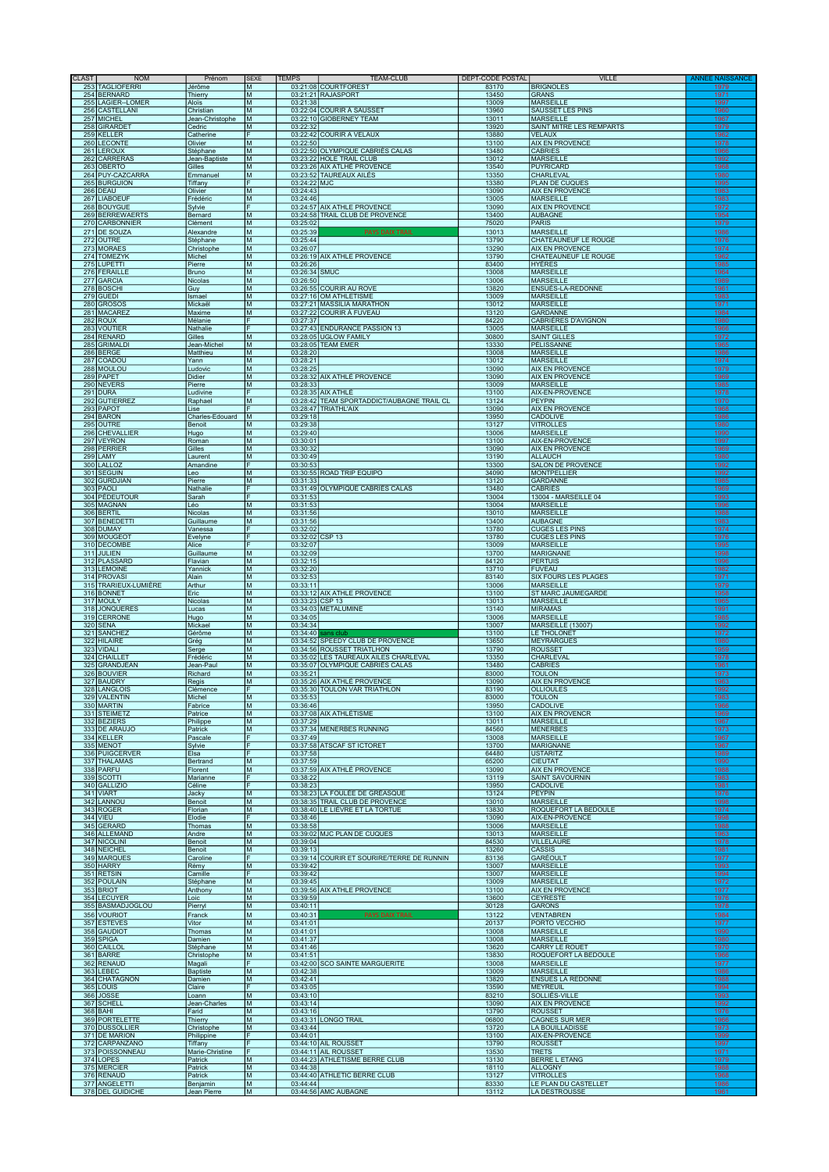| <b>CLAST</b> | <b>NOM</b>                         | Prénom                       | <b>SEXE</b>                                                                                | <b>TEMPS</b> |                      | <b>TEAM-CLUB</b>                                                          | DEPT-CODE POSTAL | <b>VILLE</b>                                          | <b>ANNEE NAK</b> |
|--------------|------------------------------------|------------------------------|--------------------------------------------------------------------------------------------|--------------|----------------------|---------------------------------------------------------------------------|------------------|-------------------------------------------------------|------------------|
|              | 253 TAGLIOFERRI<br>254 BERNARD     | Jérôme<br>Thierry            | M<br>M                                                                                     |              |                      | 03:21:08 COURTFOREST<br>03:21:21 RAJASPORT                                | 83170<br>13450   | <b>BRIGNOLES</b><br><b>GRANS</b>                      | 1979<br>1971     |
|              | 255 LAGIER-LOMER                   | Aloïs                        | M                                                                                          |              | 03:21:38             |                                                                           | 13009            | <b>MARSEILLE</b>                                      | 1997             |
|              | 256 CASTELLANI<br>257 MICHEL       | Christian<br>Jean-Christophe | M<br>M                                                                                     |              |                      | 03:22:04 COURIR À SAUSSET<br>03:22:10 GIOBERNEY TEAM                      | 13960<br>13011   | <b>SAUSSET LES PINS</b><br><b>MARSEILLE</b>           | 1960<br>1967     |
|              | 258 GIRARDET                       | Cedric                       | M                                                                                          |              | 03:22:32             |                                                                           | 13920            | SAINT MITRE LES REMPARTS                              | 1979             |
|              | 259 KELLER                         | Catherine                    | F                                                                                          |              |                      | 03:22:42 COURIR A VELAUX                                                  | 13880            | <b>VELAUX</b>                                         | 1962             |
|              | 260 LECONTE<br>261 LEROUX          | Olivier<br>Stéphane          | M<br>M                                                                                     |              | 03:22:50             | 03:22:50 OLYMPIQUE CABRIÈS CALAS                                          | 13100<br>13480   | AIX EN PROVENCE<br><b>CABRIES</b>                     | 1978<br>1966     |
|              | 262 CARRERAS                       | Jean-Baptiste                | M                                                                                          |              |                      | 03:23:22 HOLE TRAIL CLUB                                                  | 13012            | <b>MARSEILLE</b>                                      | 1992             |
|              | 263 OBERTO<br>264 PUY-CAZCARRA     | Gilles<br>Emmanuel           | M<br>M                                                                                     |              |                      | 03:23:26 AIX ATLHÉ PROVENCE<br>03:23:52 TAUREAUX AILÉS                    | 13540<br>13350   | <b>PUYRICARD</b><br><b>CHARLEVAL</b>                  | 1968<br>1980     |
|              | 265 BURGUION                       | Tiffany                      |                                                                                            |              | 03:24:22 MJC         |                                                                           | 13380            | PLAN DE CUQUES                                        | 1995             |
|              | 266 DEAU<br>267 LIABOEUF           | Olivier<br>Frédéric          | ${\sf M}$<br>M                                                                             |              | 03:24:43<br>03:24:46 |                                                                           | 13090<br>13005   | <b>AIX EN PROVENCE</b><br><b>MARSEILLE</b>            | 1983<br>1983     |
|              | 268 BOUYGUE                        | Sylvie                       |                                                                                            |              |                      | 03:24:57 AIX ATHLE PROVENCE                                               | 13090            | <b>AIX EN PROVENCE</b>                                | 1972             |
|              | 269 BERREWAERTS<br>270 CARBONNIER  | Bernard<br>Clément           | M<br>M                                                                                     |              | 03:25:02             | 03:24:58 TRAIL CLUB DE PROVENCE                                           | 13400<br>75020   | <b>AUBAGNE</b><br>PARIS                               | 1954<br>1979     |
|              | 271 DE SOUZA                       | Alexandre                    | M                                                                                          |              | 03:25:39             | <b>PAYS DAIX TRAIL</b>                                                    | 13013            | <b>MARSEILLE</b>                                      | 1986             |
|              | 272 OUTRE                          | Stéphane                     | M                                                                                          |              | 03:25:44             |                                                                           | 13790            | <b>CHATEAUNEUF LE ROUGE</b>                           | 1976             |
|              | 273 MORAES<br>274 TOMEZYK          | Christophe<br>Michel         | M<br>M                                                                                     |              | 03:26:07             | 03:26:19 AIX ATHLE PROVENCE                                               | 13290<br>13790   | <b>AIX EN PROVENCE</b><br><b>CHATEAUNEUF LE ROUGE</b> | 1974<br>1962     |
|              | 275 LUPETTI                        | Pierre                       | Iм                                                                                         |              | 03:26:26             |                                                                           | 83400            | <b>HYÈRES</b>                                         | 1985             |
|              | 276 FERAILLE<br>277 GARCIA         | Bruno<br>Nicolas             | M<br>M                                                                                     |              | 03:26:50             | 03:26:34 SMUC                                                             | 13008<br>13006   | <b>MARSEILLE</b><br><b>MARSEILLE</b>                  | 1964<br>1989     |
|              | 278 BOSCHI                         | Guy                          | M                                                                                          |              |                      | 03:26:55 COURIR AU ROVE                                                   | 13820            | ENSUÈS-LA-REDONNE                                     | 1961             |
|              | 279 GUEDI<br>280 GROSOS            | Ismael<br>Mickaël            | M<br>M                                                                                     |              |                      | 03:27:16 OM ATHLETISME<br>03:27:21 MASSILIA MARATHON                      | 13009<br>13012   | <b>MARSEILLE</b><br><b>MARSEILLE</b>                  | 1983<br>1971     |
|              | 281 MACAREZ                        | Maxime                       | M                                                                                          |              |                      | 03:27:22 COURIR À FUVEAU                                                  | 13120            | <b>GARDANNE</b>                                       | 1984             |
|              | 282 ROUX<br>283 VOUTIER            | Mélanie<br>Nathalie          | F                                                                                          |              | 03:27:37             | 03:27:43 ENDURANCE PASSION 13                                             | 84220<br>13005   | <b>CABRIÈRES D'AVIGNON</b><br><b>MARSEILLE</b>        | 1980<br>1966     |
|              | 284 RENARD                         | Gilles                       | M                                                                                          |              |                      | 03:28:05 UGLOW FAMILY                                                     | 30800            | <b>SAINT GILLES</b>                                   | 1972             |
|              | 285 GRIMALDI                       | Jean-Michel                  | M                                                                                          |              |                      | 03:28:05 TEAM EMER                                                        | 13330            | PÉLISSANNE                                            | 1965             |
|              | 286 BERGE<br>287 COADOU            | Matthieu<br>Yann             | M<br>M                                                                                     |              | 03:28:20<br>03:28:21 |                                                                           | 13008<br>13012   | <b>MARSEILLE</b><br><b>MARSEILLE</b>                  | 1986<br>1974     |
|              | 288 MOULOU                         | Ludovic                      | M                                                                                          |              | 03:28:25             |                                                                           | 13090            | <b>AIX EN PROVENCE</b>                                | 1979             |
|              | 289 PAPET<br>290 NEVERS            | Didier<br>Pierre             | M<br>M                                                                                     |              | 03:28:33             | 03:28:32 AIX ATHLÉ PROVENCE                                               | 13090<br>13009   | <b>AIX EN PROVENCE</b><br><b>MARSEILLE</b>            | 1969<br>1985     |
|              | 291 DURA                           | Ludivine                     |                                                                                            |              |                      | 03:28:35 AIX ATHLE                                                        | 13100            | AIX-EN-PROVENCE                                       | 1978             |
|              | 292 GUTIERREZ<br>293 PAPOT         | Raphael<br>Lise              | M                                                                                          |              |                      | 03:28:42 TEAM SPORTADDICT/AUBAGNE TRAIL CL<br>03:28:47 TRIATHL'AIX        | 13124<br>13090   | <b>PEYPIN</b><br><b>AIX EN PROVENCE</b>               | 1970<br>1968     |
|              | 294 BARON                          | Charles-Edouard              | M                                                                                          |              | 03:29:18             |                                                                           | 13950            | <b>CADOLIVE</b>                                       | 1986             |
|              | 295 OUTRE<br>296 CHEVALLIER        | Benoit                       | М<br>M                                                                                     |              | 03:29:38<br>03:29:40 |                                                                           | 13127<br>13006   | <b>VITROLLES</b><br><b>MARSEILLE</b>                  | 1980<br>1990     |
|              | 297 VEYRON                         | Hugo<br>Roman                | M                                                                                          |              | 03:30:01             |                                                                           | 13100            | AIX-EN-PROVENCE                                       | 1997             |
|              | 298 PERRIER                        | Gilles                       | M                                                                                          |              | 03:30:32             |                                                                           | 13090            | <b>AIX EN PROVENCE</b>                                | 1969             |
|              | 299 LAMY<br>300 LALLOZ             | Laurent<br>Amandine          | M<br>F                                                                                     |              | 03:30:49<br>03:30:53 |                                                                           | 13190<br>13300   | <b>ALLAUCH</b><br><b>SALON DE PROVENCE</b>            | 1980<br>1992     |
|              | 301 SEGUIN                         | Leo                          | M                                                                                          |              |                      | 03:30:55 ROAD TRIP EQUIPO                                                 | 34090            | <b>MONTPELLIER</b>                                    | 1992             |
|              | 302 GURDJIAN<br>303 PAOLI          | Pierre<br>Nathalie           | M                                                                                          |              | 03:31:33             | 03:31:49 OLYMPIQUE CABRIÈS CALAS                                          | 13120<br>13480   | <b>GARDANNE</b><br><b>CABRIES</b>                     | 1985<br>1969     |
|              | 304 PÉDEUTOUR                      | Sarah                        |                                                                                            |              | 03:31:53             |                                                                           | 13004            | 13004 - MARSEILLE 04                                  | 1993             |
|              | 305 MAGNAN<br>306 BERTIL           | Léo<br>Nicolas               | M<br>M                                                                                     |              | 03:31:53<br>03:31:56 |                                                                           | 13004<br>13010   | <b>MARSEILLE</b><br><b>MARSEILLE</b>                  | 1996<br>1988     |
|              | 307 BENEDETTI                      | Guillaume                    | M                                                                                          |              | 03:31:56             |                                                                           | 13400            | <b>AUBAGNE</b>                                        | 1983             |
|              | 308 DUMAY                          | Vanessa                      | F<br>E                                                                                     |              | 03:32:02             |                                                                           | 13780            | <b>CUGES LES PINS</b>                                 | 1974<br>1976     |
|              | 309 MOUGEOT<br>310 DECOMBE         | Evelyne<br>Alice             | F                                                                                          |              | 03:32:07             | 03:32:02 CSP 13                                                           | 13780<br>13009   | <b>CUGES LES PINS</b><br><b>MARSEILLE</b>             | 1995             |
|              | 311 JULIEN                         | Guillaume                    | M                                                                                          |              | 03:32:09             |                                                                           | 13700            | <b>MARIGNANE</b>                                      | 1998             |
|              | 312 PLASSARD<br>313 LEMOINE        | Flavian<br>Yannick           | M<br>M                                                                                     |              | 03:32:15<br>03:32:20 |                                                                           | 84120<br>13710   | <b>PERTUIS</b><br><b>FUVEAU</b>                       | 1996<br>1982     |
|              | 314 PROVASI                        | Alain                        | M                                                                                          |              | 03:32:53             |                                                                           | 83140            | SIX FOURS LES PLAGES                                  | 1971             |
|              | 315 TRARIEUX-LUMIÈRE<br>316 BONNET | Arthur<br>Eric               | M<br>M                                                                                     |              | 03:33:11             | 03:33:12 AIX ATHLE PROVENCE                                               | 13006<br>13100   | <b>MARSEILLE</b><br>ST MARC JAUMEGARDE                | 1979<br>1958     |
|              | 317 MOULY                          | Nicolas                      | M                                                                                          |              |                      | 03:33:23 CSP 13                                                           | 13013            | <b>MARSEILLE</b>                                      | 1965             |
|              | 318 JONQUERES<br>319 CERRONE       | Lucas<br>Hugo                | M<br>M                                                                                     |              | 03:34:05             | 03:34:03 METALUMINE                                                       | 13140<br>13006   | <b>MIRAMAS</b><br><b>MARSEILLE</b>                    | 1991<br>1985     |
|              | 320 SENA                           | Mickael                      | M                                                                                          |              | 03:34:34             |                                                                           | 13007            | MARSEILLE (13007)                                     | 1992             |
|              | 321 SANCHEZ<br>322 HILAIRE         | Gérôme<br>Grég               | M<br>M                                                                                     |              | 03:34:40             | 03:34:52 SPEEDY CLUB DE PROVENCE                                          | 13100<br>13650   | LE THOLONET<br><b>MEYRARGUES</b>                      | 1972<br>1980     |
|              | 323 VIDALI                         | Serge                        | M                                                                                          |              |                      | 03:34:56 ROUSSET TRIATLHON                                                | 13790            | <b>ROUSSET</b>                                        | 1959             |
|              | 324 CHAILLET<br>325 GRANDJEAN      | Frédéric<br>Jean-Paul        | M<br>M                                                                                     |              |                      | 03:35:02 LES TAUREAUX AILES CHARLEVAL<br>03:35:07 OLYMPIQUE CABRIÈS CALAS | 13350<br>13480   | <b>CHARLEVAL</b><br><b>CABRIES</b>                    | 1978<br>1961     |
|              | 326 BOUVIER                        | Richard                      | M                                                                                          |              | 03:35:21             |                                                                           | 83000            | <b>TOULON</b>                                         | 1973             |
|              | 327 BAUDRY<br>328 LANGLOIS         | Regis<br>Clémence            | М                                                                                          |              |                      | 03:35:26 AIX ATHLÉ PROVENCE<br>03:35:30 TOULON VAR TRIATHLON              | 13090<br>83190   | AIX EN PROVENCE<br><b>OLLIOULES</b>                   | 1963<br>1992     |
|              | 329 VALENTIN                       | Michel                       | M                                                                                          |              | 03:35:53             |                                                                           | 83000            | TOULON                                                | 1983             |
|              | 330 MARTIN                         | Fabrice                      | M                                                                                          |              | 03:36:46             |                                                                           | 13950            | <b>CADOLIVE</b>                                       | 1966             |
|              | 331 STEIMETZ<br>332 BEZIERS        | Patrice<br>Philippe          | M<br>M                                                                                     |              | 03:37:29             | 03:37:08 AIX ATHLÉTISME                                                   | 13100<br>13011   | <b>AIX EN PROVENCR</b><br><b>MARSEILLE</b>            | 1969<br>1967     |
|              | 333 DE ARAUJO                      | Patrick                      | M<br>F                                                                                     |              |                      | 03:37:34 MENERBES RUNNING                                                 | 84560            | <b>MENERBES</b>                                       | 1973             |
|              | 334 KELLER<br>335 MENOT            | Pascale<br>Sylvie            |                                                                                            |              | 03:37:49             | 03:37:58 ATSCAF ST ICTORET                                                | 13008<br>13700   | <b>MARSEILLE</b><br><b>MARIGNANE</b>                  | 1967<br>1967     |
|              | 336 PUIGCERVER                     | Elsa                         | F                                                                                          |              | 03:37:58             |                                                                           | 64480            | <b>USTARITZ</b>                                       | 1989             |
|              | 337 THALAMAS<br>338 PARFU          | Bertrand<br>Florent          | M<br>Iм                                                                                    |              | 03:37:59             | 03:37:59 AIX ATHLÈ PROVENCE                                               | 65200<br>13090   | <b>CIEUTAT</b><br><b>AIX EN PROVENCE</b>              | 1990<br>1988     |
|              | 339 SCOTTI                         | Marianne                     | F                                                                                          |              | 03:38:22             |                                                                           | 13119            | <b>SAINT SAVOURNIN</b>                                | 1983             |
|              | 340 GALLIZIO<br>341 VIART          | Céline<br>Jacky              | M                                                                                          |              | 03:38:23             | 03:38:23 LA FOULÉE DE GRÉASQUE                                            | 13950<br>13124   | <b>CADOLIVE</b><br><b>PEYPIN</b>                      | 1981<br>1976     |
|              | 342 LANNOU                         | Benoit                       | M                                                                                          |              |                      | 03:38:35 TRAIL CLUB DE PROVENCE                                           | 13010            | <b>MARSEILLE</b>                                      | 1998             |
|              | 343 ROGER<br>344 VIEU              | Florian<br>Elodie            | M                                                                                          |              | 03:38:46             | 03:38:40 LE LIÈVRE ET LA TORTUE                                           | 13830<br>13090   | <b>ROQUEFORT LA BEDOULE</b><br>AIX-EN-PROVENCE        | 1974<br>1998     |
|              | 345 GERARD                         | Thomas                       | M                                                                                          |              | 03:38:58             |                                                                           | 13006            | <b>MARSEILLE</b>                                      | 1988             |
|              | 346 ALLEMAND<br>347 NICOLINI       | Andre                        | $\mathsf{M}% _{T}=\mathsf{M}_{T}\!\left( a,b\right) ,\ \mathsf{M}_{T}=\mathsf{M}_{T}$<br>M |              | 03:39:04             | 03:39:02 MJC PLAN DE CUQUES                                               | 13013<br>84530   | <b>MARSEILLE</b><br><b>VILLELAURE</b>                 | 1963<br>1978     |
|              | 348 NEICHEL                        | Benoit<br>Benoit             | M                                                                                          |              | 03:39:13             |                                                                           | 13260            | <b>CASSIS</b>                                         | 1981             |
|              | 349 MARQUES                        | Caroline                     | F                                                                                          |              | 03:39:42             | 03:39:14 COURIR ET SOURIRE/TERRE DE RUNNIN                                | 83136            | <b>GARÉOULT</b>                                       | 1977             |
|              | 350 HARRY<br>351 RETSIN            | Rémy<br>Camille              | M<br>F                                                                                     |              | 03:39:42             |                                                                           | 13007<br>13007   | <b>MARSEILLE</b><br><b>MARSEILLE</b>                  | 1993<br>1994     |
|              | 352 POULAIN                        | Stéphane                     | M                                                                                          |              | 03:39:45             | 03:39:56 AIX ATHLE PROVENCE                                               | 13009            | <b>MARSEILLE</b>                                      | 1972             |
|              | 353 BRIOT<br>354 LECUYER           | Anthony<br>Loic              | M<br>M                                                                                     |              | 03:39:59             |                                                                           | 13100<br>13600   | <b>AIX EN PROVENCE</b><br><b>CEYRESTE</b>             | 1977<br>1976     |
|              | 355 BASMADJOGLOU                   | Pierryl                      | M                                                                                          |              | 03:40:11             |                                                                           | 30128            | <b>GARONS</b>                                         | 1978             |
|              | 356 VOURIOT<br>357 ESTEVES         | Franck<br>Vitor              | M<br>M                                                                                     |              | 03:40:31<br>03:41:01 | <b>PAYS DAIX TRAIL</b>                                                    | 13122<br>20137   | <b>VENTABREN</b><br>PORTO VECCHIO                     | 1984<br>1977     |
|              | 358 GAUDIOT                        | Thomas                       | M                                                                                          |              | 03:41:01             |                                                                           | 13008            | <b>MARSEILLE</b>                                      | 1990             |
|              | 359 SPIGA<br>360 CAILLOL           | Damien                       | M<br>M                                                                                     |              | 03:41:37<br>03:41:46 |                                                                           | 13008<br>13620   | <b>MARSEILLE</b><br><b>CARRY LE ROUET</b>             | 1980<br>1970     |
|              | 361 BARRE                          | Stéphane<br>Christophe       | M                                                                                          |              | 03:41:51             |                                                                           | 13830            | <b>ROQUEFORT LA BEDOULE</b>                           | 1966             |
|              | 362 RENAUD                         | Magali                       | F                                                                                          |              |                      | 03:42:00 SCO SAINTE MARGUERITE                                            | 13008            | <b>MARSEILLE</b>                                      | 1977             |
|              | 363 LEBEC<br>364 CHATAGNON         | <b>Baptiste</b><br>Damien    | M<br>M                                                                                     |              | 03:42:38<br>03:42:41 |                                                                           | 13009<br>13820   | <b>MARSEILLE</b><br><b>ENSUES LA REDONNE</b>          | 1986<br>1988     |
|              | 365 LOUIS                          | Claire                       | F                                                                                          |              | 03:43:05             |                                                                           | 13590            | <b>MEYREUIL</b>                                       | 1994             |
|              | 366 JOSSE<br>367 SCHELL            | Loann<br>Jean-Charles        | M<br>Iм                                                                                    |              | 03:43:10<br>03:43:14 |                                                                           | 83210<br>13090   | SOLLIĖS-VILLE<br><b>AIX EN PROVENCE</b>               | 1993<br>1992     |
|              | 368 BAHI                           | Farid                        | M                                                                                          |              | 03:43:16             |                                                                           | 13790            | <b>ROUSSET</b>                                        | 1976             |
|              | 369 PORTELETTE<br>370 DUSSOLLIER   | Thierry<br>Christophe        | M<br>M                                                                                     |              | 03:43:44             | 03:43:31 LONGO TRAIL                                                      | 06800<br>13720   | <b>CAGNES SUR MER</b><br>LA BOUILLADISSE              | 1966<br>1973     |
|              | 371 DE MARION                      | Philippine                   |                                                                                            |              | 03:44:01             |                                                                           | 13100            | AIX-EN-PROVENCE                                       | 1999             |
|              | 372 CARPANZANO<br>373 POISSONNEAU  | Tiffany<br>Marie-Christine   | F                                                                                          |              |                      | 03:44:10 AIL ROUSSET<br>03:44:11 AIL ROUSSET                              | 13790<br>13530   | <b>ROUSSET</b><br><b>TRETS</b>                        | 1997<br>1971     |
|              | 374 LOPES                          | Patrick                      | M                                                                                          |              |                      | 03:44:23 ATHLÉTISME BERRE CLUB                                            | 13130            | <b>BERRE L ETANG</b>                                  | 1979             |
|              | 375 MERCIER<br>376 RENAUD          | Patrick<br>Patrick           | M<br>M                                                                                     |              | 03:44:38             | 03:44:40 ATHLETIC BERRE CLUB                                              | 18110<br>13127   | <b>ALLOGNY</b><br><b>VITROLLES</b>                    | 1988<br>1968     |
|              | 377 ANGELETTI                      | Benjamin                     | M                                                                                          |              | 03:44:44             |                                                                           | 83330            | LE PLAN DU CASTELLET                                  | 1986             |
|              | 378 DEL GUIDICHE                   | Jean Pierre                  | M                                                                                          |              |                      | 03:44:56 AMC AUBAGNE                                                      | 13112            | LA DESTROUSSE                                         | 1961             |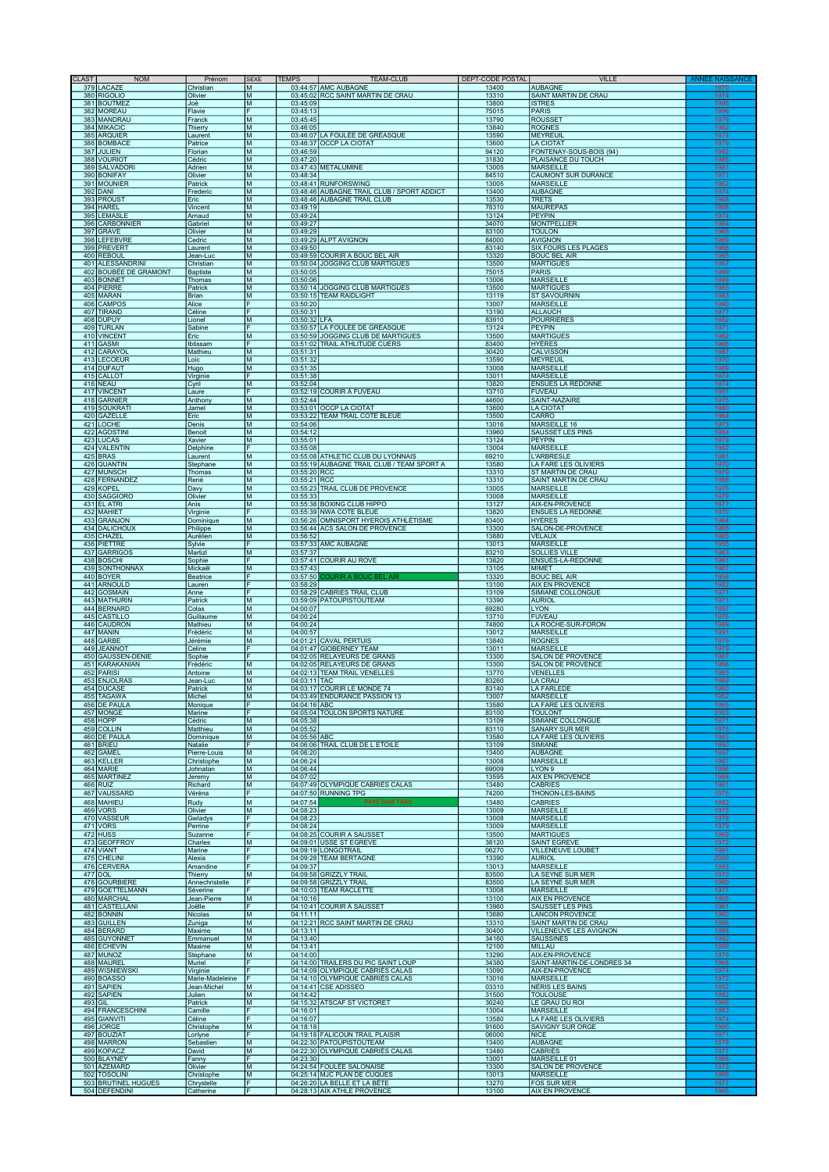| <b>NOM</b><br><b>CLAST</b>                 | Prénom                       | <b>SEXE</b> | <b>TFMPS</b>             | <b>TEAM-CLUB</b>                                                                 | DEPT-CODE POSTAL | VILLE                                           |                      |
|--------------------------------------------|------------------------------|-------------|--------------------------|----------------------------------------------------------------------------------|------------------|-------------------------------------------------|----------------------|
| 379 LACAZE                                 | Christian                    | Iм          |                          | 03:44:57 AMC AUBAGNE                                                             | 13400            | <b>AUBAGNE</b>                                  | 1970                 |
| 380 RIGOLIO<br>381 BOUTMEZ                 | Olivier<br>Joé               | Iм<br>M     | 03:45:09                 | 03:45:02 RCC SAINT MARTIN DE CRAU                                                | 13310<br>13800   | SAINT MARTIN DE CRAU<br><b>ISTRES</b>           | 1974<br>1995         |
| 382 MOREAU                                 | Flavie                       | F           | 03:45:13                 |                                                                                  | 75015            | <b>PARIS</b>                                    | 1996                 |
| 383 MANDRAL                                | Franck                       | M<br>M      | 03:45:45<br>03:46:05     |                                                                                  | 13790<br>13840   | <b>ROUSSET</b><br><b>ROGNES</b>                 | 1979<br>1962         |
| 384 MIKACIC<br>385 ARQUIER                 | Thierry<br>Laurent           | M           |                          | 03:46:07 LA FOULÉE DE GRÉASQUE                                                   | 13590            | MEYREUIL                                        | 1974                 |
| 386 BOMBACE                                | Patrice                      | M           |                          | 03:46:37 OCCP LA CIOTAT                                                          | 13600            | <b>LA CIOTAT</b>                                | 1979                 |
| 387 JULIEN<br>388 VOURIOT                  | Florian<br>Cédric            | M<br>M      | 03:46:59<br>03:47:20     |                                                                                  | 94120<br>31830   | FONTENAY-SOUS-BOIS (94)<br>PLAISANCE DU TOUCH   | 1992<br>1985         |
| 389 SALVADOR                               | Adrien                       | M           |                          | 03:47:43 METALUMINE                                                              | 13005            | <b>MARSEILLE</b>                                | 1991                 |
| 390 BONIFAY                                | Olivier                      | M           | 03:48:34                 |                                                                                  | 84510            | <b>CAUMONT SUR DURANCE</b>                      | 1971                 |
| 391 MOUNIER<br>392 DANI                    | Patrick<br>Frederic          | M<br>M      |                          | 03:48:41 RUNFORSWING<br>03:48:46 AUBAGNE TRAIL CLUB / SPORT ADDICT               | 13005<br>13400   | <b>MARSEILLE</b><br><b>AUBAGNE</b>              | 1962<br>1974         |
| 393 PROUST                                 | Eric                         | M           |                          | 03:48:46 AUBAGNE TRAIL CLUB                                                      | 13530            | <b>TRETS</b>                                    | 1968                 |
| 394 HAREL<br>395                           | Vincent                      | M           | 03:49:19                 |                                                                                  | 78310            | <b>MAUREPAS</b><br><b>PEYPIN</b>                | 1968                 |
| LEMASLE<br>396<br><b>CARBONNIER</b>        | Arnaud<br>Gabriel            | M<br>M      | 03:49:24<br>03:49:27     |                                                                                  | 13124<br>34070   | <b>MONTPELLIER</b>                              | 1974<br>1984         |
| 397<br>GRAVE                               | Olivier                      | M           | 03:49:29                 |                                                                                  | 83100            | <b>TOULON</b>                                   | 1965                 |
| 398<br><b>LEFEBVRE</b><br>399 PREVERT      | Cedric<br>Laurent            | M<br>M      | 03:49:50                 | 03:49:29 ALPT AVIGNON                                                            | 84000<br>83140   | <b>AVIGNON</b><br><b>SIX FOURS LES PLAGES</b>   | 1969<br>1968         |
| 400 REBOUL                                 | Jean-Luc                     | M           |                          | 03:49:59 COURIR A BOUC BEL AIR                                                   | 13320            | <b>BOUC BEL AIR</b>                             | 1965                 |
| 401 ALESSANDRINI<br>402 BOUBÉE DE GRAMONT  | Christian<br><b>Baptiste</b> | M<br>M      | 03:50:05                 | 03:50:04 JOGGING CLUB MARTIGUES                                                  | 13500<br>75015   | <b>MARTIGUES</b><br><b>PARIS</b>                | 1957<br>1999         |
| 403 BONNET                                 | Thomas                       | M           | 03:50:06                 |                                                                                  | 13006            | <b>MARSEILLE</b>                                | 1999                 |
| 404 PIERRE<br>405 MARAN                    | Patrick<br>Brian             | M<br>M      |                          | 03:50:14 JOGGING CLUB MARTIGUES<br>03:50:15 TEAM RAIDLIGHT                       | 13500<br>13119   | <b>MARTIGUES</b><br><b>ST SAVOURNIN</b>         | 1965<br>1983         |
| 406 CAMPOS                                 | Alice                        | F           | 03:50:20                 |                                                                                  | 13007            | <b>MARSEILLE</b>                                | 1990                 |
| 407<br><b>TIRAND</b>                       | Céline                       | F           | 03:50:31                 |                                                                                  | 13190            | <b>ALLAUCH</b>                                  | 1977                 |
| 408 DUPUY<br>409 TURLAN                    | Lionel<br>Sabine             | M<br>F      | 03:50:32 LFA             | 03:50:57 LA FOULÉE DE GRÉASQUE                                                   | 83910<br>13124   | <b>POURRIERES</b><br><b>PEYPIN</b>              | 1982<br>1971         |
| 410 VINCENT                                | Eric                         | M           |                          | 03:50:59 JOGGING CLUB DE MARTIGUES                                               | 13500            | <b>MARTIGUES</b>                                | 1962                 |
| 411 GASMI<br>412 CARAYOL                   | Ibtissam<br>Mathieu          | M           | 03:51:31                 | 03:51:02 TRAIL ATHLITUDE CUERS                                                   | 83400<br>30420   | HYÈRES<br><b>CALVISSON</b>                      | 1986<br>1987         |
| 413 LECOEUR                                | Loic                         | M           | 03:51:32                 |                                                                                  | 13590            | <b>MEYREUIL</b>                                 | 1970                 |
| 414 DUFAUT                                 | Hugo                         | M<br>F      | 03:51:35<br>03:51:38     |                                                                                  | 13008<br>13011   | <b>MARSEILLE</b>                                | 1989                 |
| 415 CALLOT<br>416 NEAU                     | Virginie<br>Cyril            | M           | 03:52:04                 |                                                                                  | 13820            | <b>MARSEILLE</b><br><b>ENSUES LA REDONNE</b>    | 1974<br>1974         |
| 417 VINCENT                                | Laure                        | F           |                          | 03:52:19 COURIR À FUVEAU                                                         | 13710            | <b>FUVEAU</b>                                   | 1981                 |
| 418 GARNIER<br>419 SOUKRATI                | Anthony<br>Jamel             | M<br>M      | 03:52:44                 | 03:53:01 OCCP LA CIOTAT                                                          | 44600<br>13600   | SAINT-NAZAIRE<br><b>LA CIOTAT</b>               | 1975<br>1980         |
| 420<br><b>GAZELLE</b>                      | Eric                         | M           |                          | 03:53:22 TEAM TRAIL COTE BLEUE                                                   | 13500            | CARRO                                           | 1964                 |
| 421<br><b>LOCHE</b><br>422                 | Denis                        | M           | 03:54:06<br>03:54:12     |                                                                                  | 13016            | MARSEILLE 16<br><b>SAUSSET LES PINS</b>         | 1973                 |
| <b>AGOSTINI</b><br>423<br>LUCAS            | Benoit<br>Xavier             | M<br>M      | 03:55:01                 |                                                                                  | 13960<br>13124   | <b>PEYPIN</b>                                   | 1984<br>1979         |
| 424 VALENTIN                               | Delphine                     |             | 03:55:08                 |                                                                                  | 13004            | <b>MARSEILLE</b>                                | 1982                 |
| 425 BRAS<br>426<br><b>QUANTIN</b>          | Laurent<br>Stephane          | M<br>M      |                          | 03:55:08 ATHLETIC CLUB DU LYONNAIS<br>03:55:19 AUBAGNE TRAIL CLUB / TEAM SPORT A | 69210<br>13580   | <b>L'ARBRESLE</b><br>LA FARE LES OLIVIERS       | 1981<br>1970         |
| 427 MUNSCH                                 | Thomas                       | M           | 03:55:20 RCC             |                                                                                  | 13310            | ST MARTIN DE CRAU                               | 1979                 |
| 428 FERNANDEZ<br>429 KOPEL                 | René<br>Davy                 | M<br>M      | 03:55:21 RCC             | 03:55:23 TRAIL CLUB DE PROVENCE                                                  | 13310            | SAINT MARTIN DE CRAU<br><b>MARSEILLE</b>        | 1968<br>1975         |
| 430 SAGGIORO                               | Olivier                      | M           | 03:55:33                 |                                                                                  | 13005<br>13008   | <b>MARSEILLE</b>                                | 1979                 |
| 431 EL ATRI                                | Anis                         | M           |                          | 03:55:38 BOXING CLUB HIPPO                                                       | 13127            | AIX-EN-PROVENCE                                 | 1977                 |
| 432 MAHIET<br>433 GRANJON                  | Virginie<br>Dominique        | F<br>M      |                          | 03:55:39 NWA COTE BLEUE<br>03:56:26 OMNISPORT HYEROIS ATHLÉTISME                 | 13820<br>83400   | <b>ENSUES LA REDONNE</b><br><b>HYÈRES</b>       | 1970<br>1964         |
| 434 DALICHOUX                              | Philippe                     | M           |                          | 03:56:44 ACS SALON DE PROVENCE                                                   | 13300            | SALON-DE-PROVENCE                               | 1965                 |
| 435 CHAZEL<br>436 PIETTRE                  | Aurélien<br>Sylvie           | M<br>F      | 03:56:52                 | 03:57:33 AMC AUBAGNE                                                             | 13880<br>13013   | <b>VELAUX</b><br><b>MARSEILLE</b>               | 1985<br>1955         |
| 437 GARRIGOS                               | Martizl                      | M           | 03:57:37                 |                                                                                  | 83210            | <b>SOLLIES VILLE</b>                            | 1963                 |
| 438 BOSCHI                                 | Sophie                       | ΙF<br>M     | 03:57:43                 | 03:57:41 COURIR AU ROVE                                                          | 13820<br>13105   | ENSUÈS-LA-REDONNE<br><b>MIMET</b>               | 1961<br>1987         |
| 439 SONTHONNAX<br>440 BOYER                | Mickaël<br><b>Beatrice</b>   | F           | 03:57:50                 | JRIR A BOUC BEL AIR                                                              | 13320            | <b>BOUC BEL AIR</b>                             | 1958                 |
| 441 ARNOULD                                | Lauren                       | F           | 03:58:29                 |                                                                                  | 13100            | <b>AIX EN PROVENCE</b>                          | 1982                 |
| 442 GOSMAIN<br>443 MATHURIN                | Anne<br>Patrick              | F<br>M      |                          | 03:58:29 CABRIES TRAIL CLUB<br>03:59:09 PATOUPISTOUTEAM                          | 13109<br>13390   | SIMIANE COLLONGUE<br><b>AURIOL</b>              | 1971<br>1971         |
| 444 BERNARD                                | Colas                        | M           | 04:00:07                 |                                                                                  | 69280            | <b>LYON</b>                                     | 1997                 |
| 445<br>CASTILLO<br>446<br>CAUDRON          | Guillaume<br><b>Mathieu</b>  | M<br>M      | 04:00:24<br>04:00:24     |                                                                                  | 13710<br>74800   | <b>FUVEAU</b><br>LA ROCHE-SUR-FORON             | 1976<br><u> 1989</u> |
| 447<br>MANIN                               | Frédéric                     | M           | 04:00:57                 |                                                                                  | 13012            | <b>MARSEILLE</b>                                | 1991                 |
| 448<br>GARBE                               | Jérémie                      | M           | 04:01:21                 | <b>CAVAL PERTUIS</b>                                                             | 13840            | <b>ROGNES</b>                                   | 1979                 |
| 449<br><b>JEANNOT</b><br>450 GAUSSEN-DENIE | Celine<br>Sophie             | IF          | 04:01:47                 | <b>GIOBERNEY TEAM</b><br>04:02:05 RELAYEURS DE GRANS                             | 13011<br>13300   | <b>MARSEILLE</b><br><b>SALON DE PROVENCE</b>    | 1979<br>1967         |
| 451 KARAKANIAN                             | Frédéric                     | M           |                          | 04:02:05 RELAYEURS DE GRANS                                                      | 13300            | <b>SALON DE PROVENCE</b>                        | 1966                 |
| 452 PARISI<br>453 ENJOLRAS                 | Antoine<br>Jean-Luc          | M<br>M      | 04:03:11 TAC             | 04:02:13 TEAM TRAIL VENELLES                                                     | 13770<br>83260   | <b>VENELLES</b><br><b>LA CRAU</b>               | 1963<br>1969         |
| 454 DUCASE                                 | Patrick                      | M           |                          | 04:03:17 COURIR LE MONDE 74                                                      | 83140            | <b>LA FARLEDE</b>                               | 1960                 |
| 455 TAGAWA<br>456 DE PAULA                 | Michel<br>Monique            | M           | 04:04:16 ABC             | 04:03:49 ENDURANCE PASSION 13                                                    | 13007<br>13580   | <b>MARSEILLE</b><br>LA FARE LES OLIVIERS        | 1952<br>1965         |
| 457 MONGE                                  | Marine                       | IF          |                          | 04:05:04 TOULON SPORTS NATURE                                                    | 83100            | <b>TOULONT</b>                                  | 2003                 |
| 458 HOPP                                   | Cédric                       | M           | 04:05:38                 |                                                                                  | 13109            | SIMIANE COLLONGUE                               | 1971                 |
| 459 COLLIN<br>460 DE PAULA                 | Matthieu<br>Dominique        | M<br>M      | 04:05:52<br>04:05:56 ABC |                                                                                  | 83110<br>13580   | SANARY SUR MER<br>LA FARE LES OLIVIERS          | 1975<br>1963         |
| 461 BRIEU                                  | Natalie                      |             |                          | 04:06:06 TRAIL CLUB DE L ETOILE                                                  | 13109            | <b>SIMIANE</b>                                  | 1980                 |
| 462 GAMEL<br>463 KELLER                    | Pierre-Louis<br>Christophe   | M<br>M      | 04:06:20<br>04:06:24     |                                                                                  | 13400<br>13008   | <b>AUBAGNE</b><br><b>MARSEILLE</b>              | 1997<br>1967         |
| 464 MARIE                                  | Johnatan                     | M           | 04:06:44                 |                                                                                  | 69009            | LYON <sub>9</sub>                               | 1996                 |
| 465 MARTINEZ<br>466 RUIZ                   | Jeremy<br>Richard            | M<br>M      | 04:07:02                 | 04:07:49 OLYMPIQUE CABRIÈS CALAS                                                 | 13595<br>13480   | <b>AIX EN PROVENCE</b><br><b>CABRIES</b>        | 1988<br>1961         |
| 467 VAUSSARD                               | Véréna                       | F           |                          | 04:07:50 RUNNING TPG                                                             | 74200            | THONON-LES-BAINS                                | 1975                 |
| 468 MAHIEU                                 | Rudy                         | M           | 04:07:54                 | <b>PAYS DAIX TRAIL</b>                                                           | 13480            | <b>CABRIES</b>                                  | 1982                 |
| 469 VORS<br>470 VASSEUR                    | Olivier<br>Gwladys           | M<br>F      | 04:08:23<br>04:08:23     |                                                                                  | 13009<br>13008   | <b>MARSEILLE</b><br><b>MARSEILLE</b>            | 1975<br>1978         |
| 471 VORS                                   | Perrine                      | F           | 04:08:24                 |                                                                                  | 13009            | <b>MARSEILLE</b>                                | 1979                 |
| 472 HUSS<br>473 GEOFFROY                   | Suzanne<br>Charles           | F<br>M      |                          | 04:08:25 COURIR A SAUSSET<br>04:09:01 USSE ST EGREVE                             | 13500<br>38120   | <b>MARTIGUES</b><br><b>SAINT EGREVE</b>         | 1969<br>1972         |
| 474 VIANT                                  | Marine                       | F           |                          | 04:09:19 LONGOTRAIL                                                              | 06270            | VILLENEUVE LOUBET                               | 1991                 |
| 475<br><b>CHELINI</b><br>476 CERVERA       | Alexia<br>Amandine           | F<br>F      | 04:09:37                 | 04:09:28 TEAM BERTAGNE                                                           | 13390<br>13013   | <b>AURIOL</b><br><b>MARSEILLE</b>               | <u> 2000</u><br>1993 |
| 477 DOL                                    | Thierry                      | M           | 04:09:58                 | <b>GRIZZLY TRAIL</b>                                                             | 83500            | LA SEYNE SUR MER                                | 1970                 |
| 478 GOURBIERE                              | Annechristelle               |             |                          | 04:09:58 GRIZZLY TRAIL                                                           | 83500            | LA SEYNE SUR MER                                | 1980                 |
| 479 GOETTELMANN<br>480 MARCHAL             | Séverine<br>Jean-Pierre      | M           | 04:10:16                 | 04:10:03 TEAM RACLETTE                                                           | 13008<br>13100   | <b>MARSEILLE</b><br><b>AIX EN PROVENCE</b>      | 1977<br>1955         |
| 481 CASTELLANI                             | Joëlle                       | F           |                          | 04:10:41 COURIR À SAUSSET                                                        | 13960            | <b>SAUSSET LES PINS</b>                         | 1961                 |
| 482 BONNIN<br>483 GUILLEN                  | Nicolas<br>Zuniga            | M<br>M      | 04:11:11                 | 04:12:21 RCC SAINT MARTIN DE CRAU                                                | 13680<br>13310   | <b>LANCON PROVENCE</b><br>SAINT MARTIN DE CRAU  | 1980<br>1986         |
| 484 BERARD                                 | Maxime                       | M           | 04:13:11                 |                                                                                  | 30400            | VILLENEUVE LES AVIGNON                          | 1988                 |
| 485 GUYONNET<br>486 ECHEVIN                |                              | M           |                          |                                                                                  | 34160<br>12100   | <b>SAUSSINES</b><br>MILLAU                      | 1992                 |
|                                            | Emmanuel                     |             | 04:13:40                 |                                                                                  |                  |                                                 | 1989                 |
| 487 MUNOZ                                  | Maxime<br>Stephane           | M<br>M      | 04:13:41<br>04:14:00     |                                                                                  | 13290            | <b>AIX-EN-PROVENCE</b>                          | 1979                 |
| 488 MAUREL                                 | Muriel                       | F           |                          | 04:14:00 TRAILERS DU PIC SAINT LOUP                                              | 34380            | SAINT-MARTIN-DE-LONDRES 34                      | 1968                 |
| 489 WISNIEWSKI<br>490 BOASSO               | Virginie<br>Marie-Madeleine  | F           |                          | 04:14:09 OLYMPIQUE CABRIÈS CALAS<br>04:14:10 OLYMPIQUE CABRIÈS CALAS             | 13090<br>13016   | AIX-EN-PROVENCE<br><b>MARSEILLE</b>             | 1974<br>1972         |
| 491 SAPIEN                                 | Jean-Michel                  | M           |                          | 04:14:41 CSE ADISSEO                                                             | 03310            | <b>NÉRIS LES BAINS</b>                          | 1952                 |
| 492 SAPIEN                                 | Julien                       | M           | 04:14:42                 |                                                                                  | 31500            | <b>TOULOUSE</b>                                 | 1982                 |
| 493 GIL<br>494 FRANCESCHINI                | Patrick<br>Camille           | M<br>F      | 04:16:01                 | 04:15:32 ATSCAF ST VICTORET                                                      | 30240<br>13004   | LE GRAU DU ROI<br><b>MARSEILLE</b>              | 1966<br>1983         |
| 495 GIANVITI                               | Céline                       | F           | 04:16:07                 |                                                                                  | 13580            | LA FARE LES OLIVIERS                            | 1974                 |
| 496 JORGE<br>497 BOUZIAT                   | Christophe<br>Lorlyne        | M<br>F      | 04:18:18                 | 04:19:18 FALICOUN TRAIL PLAISIR                                                  | 91600<br>06000   | <b>SAVIGNY SUR ORGE</b><br><b>NICE</b>          | 1980<br>1971         |
| 498 MARRON                                 | Sebastien                    | M           |                          | 04:22:30 PATOUPISTOUTEAM                                                         | 13400            | <b>AUBAGNE</b>                                  | 1976                 |
| 499 KOPACZ<br>500 BLAYNEY                  | David                        | M<br>F      | 04:23:30                 | 04:22:30 OLYMPIQUE CABRIÈS CALAS                                                 | 13480            | <b>CABRIÈS</b>                                  | 1977                 |
| 501 AZEMARD                                | Fanny<br>Olivier             | M           |                          | 04:24:54 FOULÉE SALONAISE                                                        | 13001<br>13300   | <b>MARSEILLE 01</b><br><b>SALON DE PROVENCE</b> | 1988<br>1973         |
| 502 TOSOLINI<br>503 BRUTINEL HUGUES        | Christophe<br>Chrystelle     | M           |                          | 04:25:14 MJC PLAN DE CUQUES<br>04:26:20 LA BELLE ET LA BÊTE                      | 13013<br>13270   | <b>MARSEILLE</b><br><b>FOS SUR MER</b>          | 1969<br>1977         |